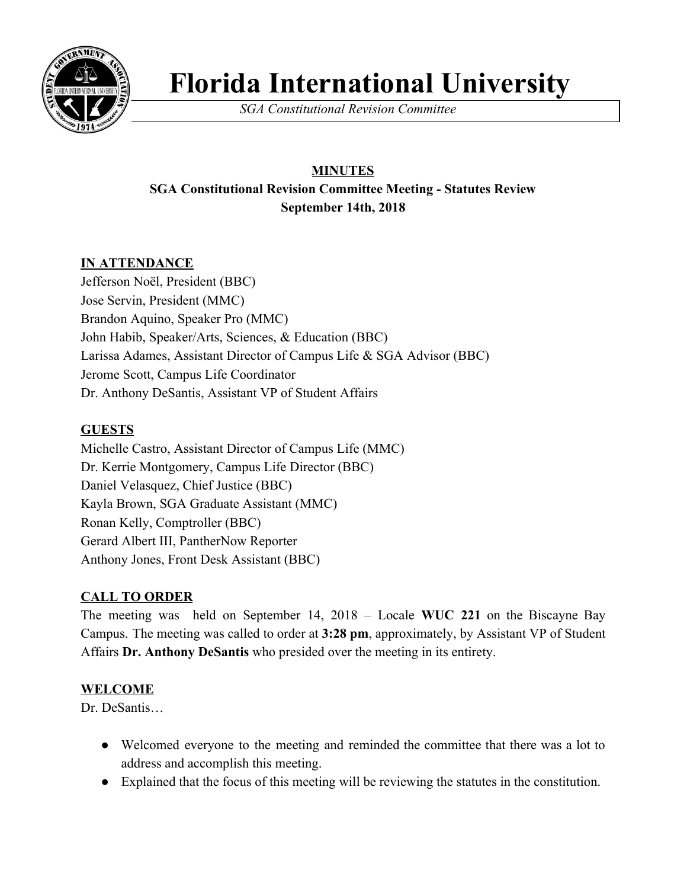

# **Florida International University**

*SGA Constitutional Revision Committee*

## **MINUTES SGA Constitutional Revision Committee Meeting - Statutes Review September 14th, 2018**

### **IN ATTENDANCE**

Jefferson Noël, President (BBC) Jose Servin, President (MMC) Brandon Aquino, Speaker Pro (MMC) John Habib, Speaker/Arts, Sciences, & Education (BBC) Larissa Adames, Assistant Director of Campus Life & SGA Advisor (BBC) Jerome Scott, Campus Life Coordinator Dr. Anthony DeSantis, Assistant VP of Student Affairs

#### **GUESTS**

Michelle Castro, Assistant Director of Campus Life (MMC) Dr. Kerrie Montgomery, Campus Life Director (BBC) Daniel Velasquez, Chief Justice (BBC) Kayla Brown, SGA Graduate Assistant (MMC) Ronan Kelly, Comptroller (BBC) Gerard Albert III, PantherNow Reporter Anthony Jones, Front Desk Assistant (BBC)

#### **CALL TO ORDER**

The meeting was held on September 14, 2018 – Locale **WUC 221** on the Biscayne Bay Campus. The meeting was called to order at **3:28 pm**, approximately, by Assistant VP of Student Affairs **Dr. Anthony DeSantis** who presided over the meeting in its entirety.

#### **WELCOME**

Dr. DeSantis

- Welcomed everyone to the meeting and reminded the committee that there was a lot to address and accomplish this meeting.
- Explained that the focus of this meeting will be reviewing the statutes in the constitution.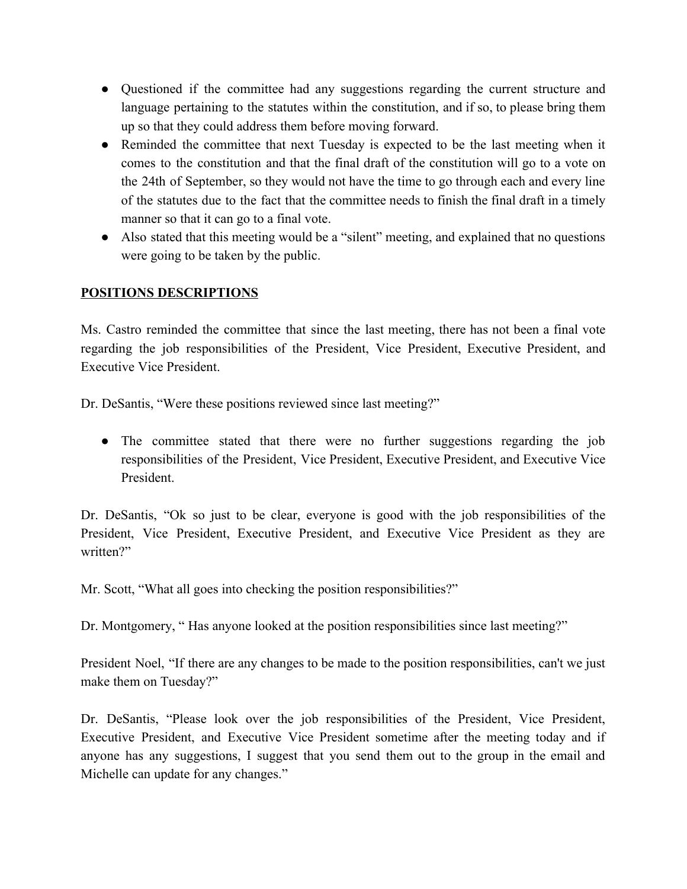- Questioned if the committee had any suggestions regarding the current structure and language pertaining to the statutes within the constitution, and if so, to please bring them up so that they could address them before moving forward.
- Reminded the committee that next Tuesday is expected to be the last meeting when it comes to the constitution and that the final draft of the constitution will go to a vote on the 24th of September, so they would not have the time to go through each and every line of the statutes due to the fact that the committee needs to finish the final draft in a timely manner so that it can go to a final vote.
- Also stated that this meeting would be a "silent" meeting, and explained that no questions were going to be taken by the public.

#### **POSITIONS DESCRIPTIONS**

Ms. Castro reminded the committee that since the last meeting, there has not been a final vote regarding the job responsibilities of the President, Vice President, Executive President, and Executive Vice President.

Dr. DeSantis, "Were these positions reviewed since last meeting?"

• The committee stated that there were no further suggestions regarding the job responsibilities of the President, Vice President, Executive President, and Executive Vice President.

Dr. DeSantis, "Ok so just to be clear, everyone is good with the job responsibilities of the President, Vice President, Executive President, and Executive Vice President as they are written?"

Mr. Scott, "What all goes into checking the position responsibilities?"

Dr. Montgomery, " Has anyone looked at the position responsibilities since last meeting?"

President Noel, "If there are any changes to be made to the position responsibilities, can't we just make them on Tuesday?"

Dr. DeSantis, "Please look over the job responsibilities of the President, Vice President, Executive President, and Executive Vice President sometime after the meeting today and if anyone has any suggestions, I suggest that you send them out to the group in the email and Michelle can update for any changes."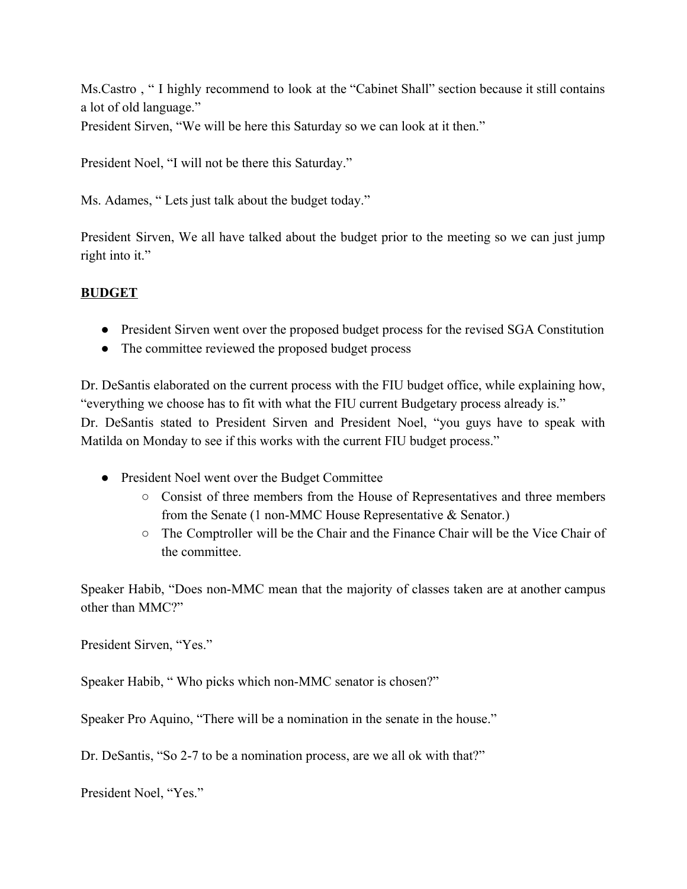Ms.Castro , " I highly recommend to look at the "Cabinet Shall" section because it still contains a lot of old language."

President Sirven, "We will be here this Saturday so we can look at it then."

President Noel, "I will not be there this Saturday."

Ms. Adames, " Lets just talk about the budget today."

President Sirven, We all have talked about the budget prior to the meeting so we can just jump right into it."

#### **BUDGET**

- President Sirven went over the proposed budget process for the revised SGA Constitution
- The committee reviewed the proposed budget process

Dr. DeSantis elaborated on the current process with the FIU budget office, while explaining how, "everything we choose has to fit with what the FIU current Budgetary process already is." Dr. DeSantis stated to President Sirven and President Noel, "you guys have to speak with Matilda on Monday to see if this works with the current FIU budget process."

- President Noel went over the Budget Committee
	- Consist of three members from the House of Representatives and three members from the Senate (1 non-MMC House Representative & Senator.)
	- $\circ$  The Comptroller will be the Chair and the Finance Chair will be the Vice Chair of the committee.

Speaker Habib, "Does non-MMC mean that the majority of classes taken are at another campus other than MMC?"

President Sirven, "Yes."

Speaker Habib, " Who picks which non-MMC senator is chosen?"

Speaker Pro Aquino, "There will be a nomination in the senate in the house."

Dr. DeSantis, "So 2-7 to be a nomination process, are we all ok with that?"

President Noel, "Yes."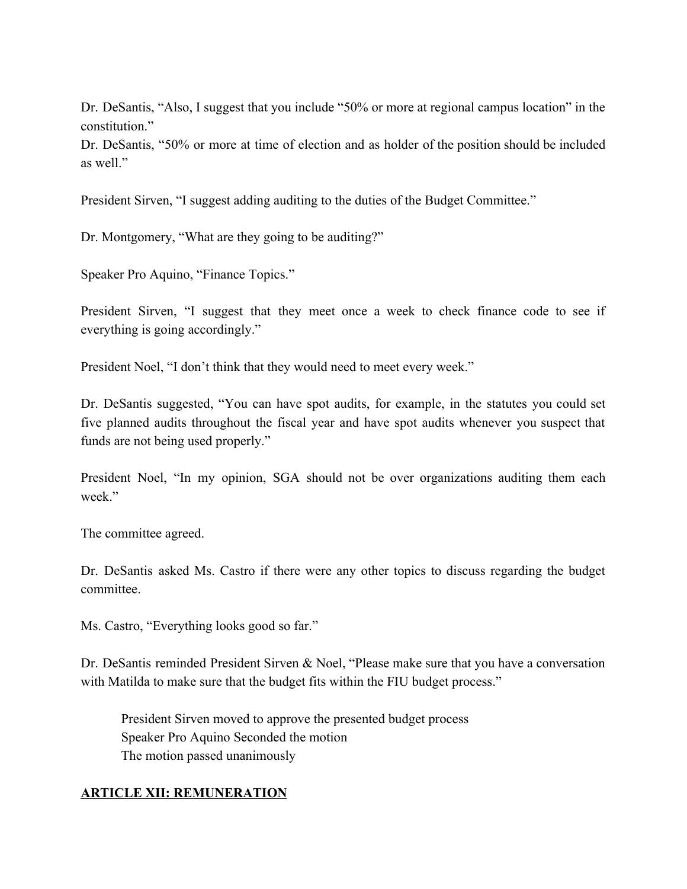Dr. DeSantis, "Also, I suggest that you include "50% or more at regional campus location" in the constitution."

Dr. DeSantis, "50% or more at time of election and as holder of the position should be included as well"

President Sirven, "I suggest adding auditing to the duties of the Budget Committee."

Dr. Montgomery, "What are they going to be auditing?"

Speaker Pro Aquino, "Finance Topics."

President Sirven, "I suggest that they meet once a week to check finance code to see if everything is going accordingly."

President Noel, "I don't think that they would need to meet every week."

Dr. DeSantis suggested, "You can have spot audits, for example, in the statutes you could set five planned audits throughout the fiscal year and have spot audits whenever you suspect that funds are not being used properly."

President Noel, "In my opinion, SGA should not be over organizations auditing them each week"

The committee agreed.

Dr. DeSantis asked Ms. Castro if there were any other topics to discuss regarding the budget committee.

Ms. Castro, "Everything looks good so far."

Dr. DeSantis reminded President Sirven & Noel, "Please make sure that you have a conversation with Matilda to make sure that the budget fits within the FIU budget process."

President Sirven moved to approve the presented budget process Speaker Pro Aquino Seconded the motion The motion passed unanimously

#### **ARTICLE XII: REMUNERATION**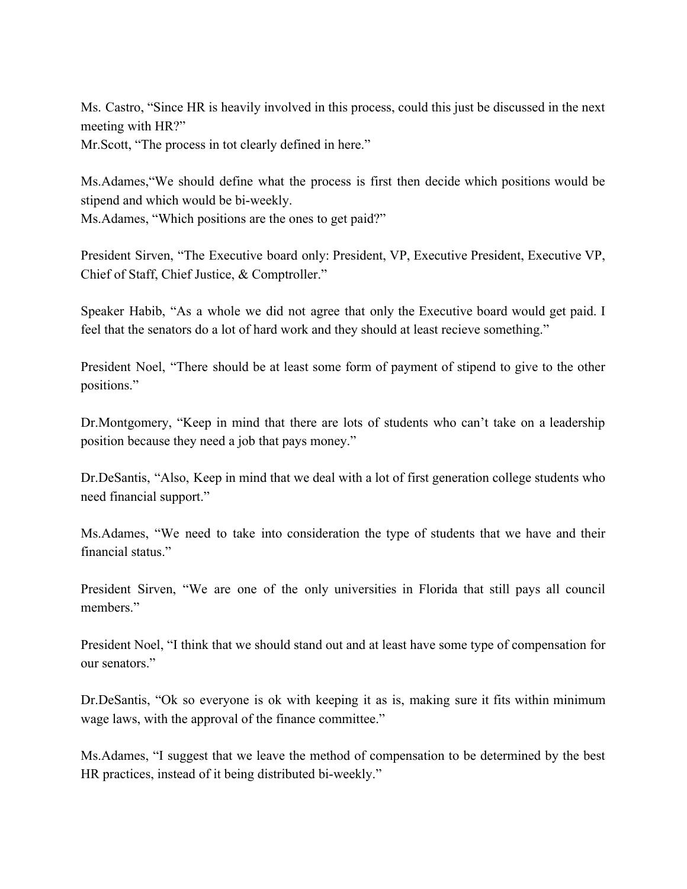Ms. Castro, "Since HR is heavily involved in this process, could this just be discussed in the next meeting with HR?"

Mr.Scott, "The process in tot clearly defined in here."

Ms.Adames,"We should define what the process is first then decide which positions would be stipend and which would be bi-weekly.

Ms.Adames, "Which positions are the ones to get paid?"

President Sirven, "The Executive board only: President, VP, Executive President, Executive VP, Chief of Staff, Chief Justice, & Comptroller."

Speaker Habib, "As a whole we did not agree that only the Executive board would get paid. I feel that the senators do a lot of hard work and they should at least recieve something."

President Noel, "There should be at least some form of payment of stipend to give to the other positions."

Dr.Montgomery, "Keep in mind that there are lots of students who can't take on a leadership position because they need a job that pays money."

Dr.DeSantis, "Also, Keep in mind that we deal with a lot of first generation college students who need financial support."

Ms.Adames, "We need to take into consideration the type of students that we have and their financial status<sup>"</sup>

President Sirven, "We are one of the only universities in Florida that still pays all council members."

President Noel, "I think that we should stand out and at least have some type of compensation for our senators."

Dr.DeSantis, "Ok so everyone is ok with keeping it as is, making sure it fits within minimum wage laws, with the approval of the finance committee."

Ms.Adames, "I suggest that we leave the method of compensation to be determined by the best HR practices, instead of it being distributed bi-weekly."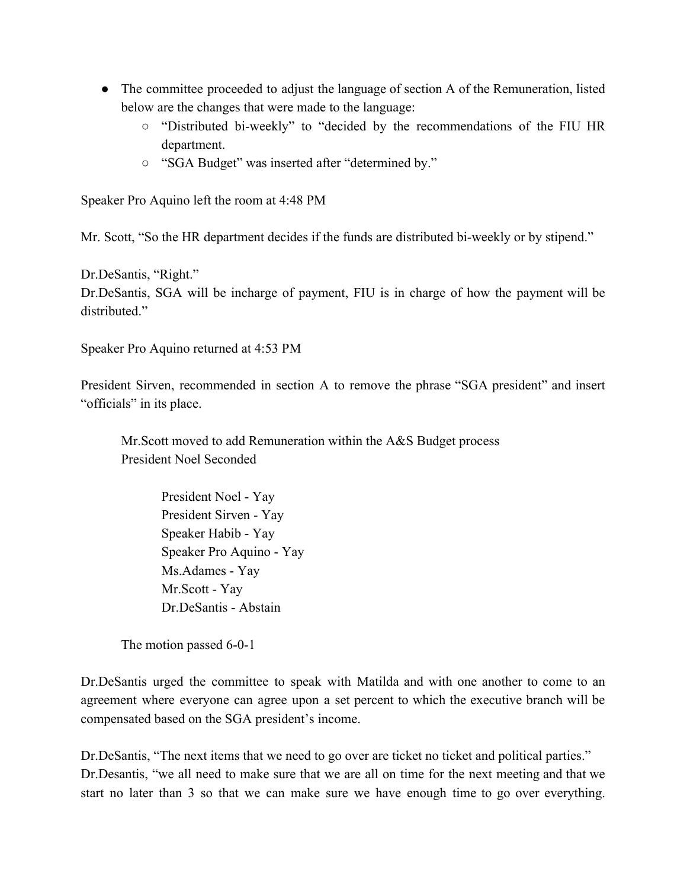- The committee proceeded to adjust the language of section A of the Remuneration, listed below are the changes that were made to the language:
	- "Distributed bi-weekly" to "decided by the recommendations of the FIU HR department.
	- "SGA Budget" was inserted after "determined by."

Speaker Pro Aquino left the room at 4:48 PM

Mr. Scott, "So the HR department decides if the funds are distributed bi-weekly or by stipend."

Dr.DeSantis, "Right."

Dr.DeSantis, SGA will be incharge of payment, FIU is in charge of how the payment will be distributed."

Speaker Pro Aquino returned at 4:53 PM

President Sirven, recommended in section A to remove the phrase "SGA president" and insert "officials" in its place.

Mr.Scott moved to add Remuneration within the A&S Budget process President Noel Seconded

> President Noel - Yay President Sirven - Yay Speaker Habib - Yay Speaker Pro Aquino - Yay Ms.Adames - Yay Mr.Scott - Yay Dr.DeSantis - Abstain

The motion passed 6-0-1

Dr.DeSantis urged the committee to speak with Matilda and with one another to come to an agreement where everyone can agree upon a set percent to which the executive branch will be compensated based on the SGA president's income.

Dr.DeSantis, "The next items that we need to go over are ticket no ticket and political parties." Dr.Desantis, "we all need to make sure that we are all on time for the next meeting and that we start no later than 3 so that we can make sure we have enough time to go over everything.